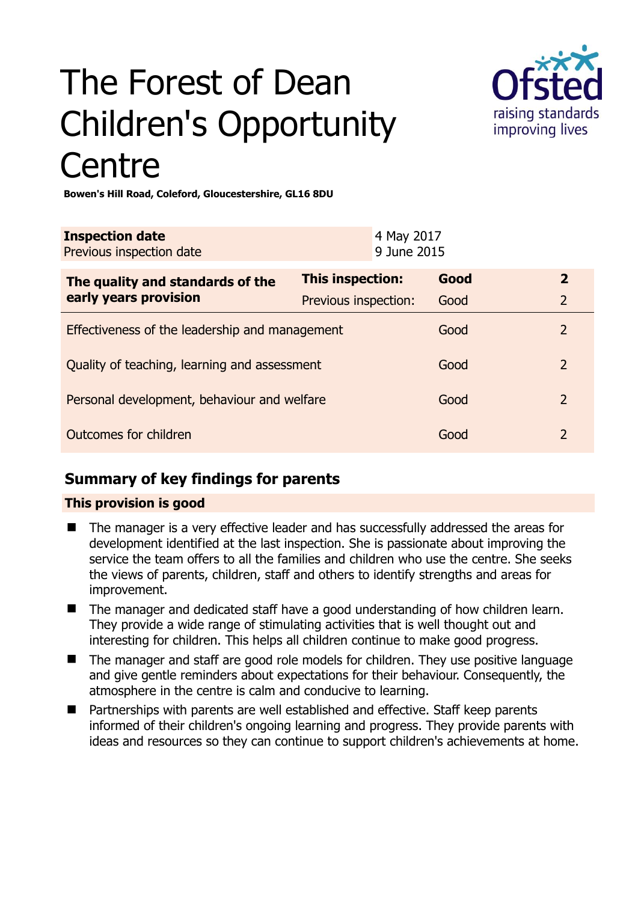# The Forest of Dean Children's Opportunity **Centre**



**Bowen's Hill Road, Coleford, Gloucestershire, GL16 8DU** 

| <b>Inspection date</b><br>Previous inspection date        |                      | 4 May 2017<br>9 June 2015 |      |                |
|-----------------------------------------------------------|----------------------|---------------------------|------|----------------|
| The quality and standards of the<br>early years provision | This inspection:     |                           | Good | $\mathbf{2}$   |
|                                                           | Previous inspection: |                           | Good | $\overline{2}$ |
| Effectiveness of the leadership and management            |                      |                           | Good | 2              |
| Quality of teaching, learning and assessment              |                      |                           | Good | 2              |
| Personal development, behaviour and welfare               |                      |                           | Good | 2              |
| Outcomes for children                                     |                      |                           | Good | $\mathcal{P}$  |

# **Summary of key findings for parents**

## **This provision is good**

- The manager is a very effective leader and has successfully addressed the areas for development identified at the last inspection. She is passionate about improving the service the team offers to all the families and children who use the centre. She seeks the views of parents, children, staff and others to identify strengths and areas for improvement.
- The manager and dedicated staff have a good understanding of how children learn. They provide a wide range of stimulating activities that is well thought out and interesting for children. This helps all children continue to make good progress.
- The manager and staff are good role models for children. They use positive language and give gentle reminders about expectations for their behaviour. Consequently, the atmosphere in the centre is calm and conducive to learning.
- Partnerships with parents are well established and effective. Staff keep parents informed of their children's ongoing learning and progress. They provide parents with ideas and resources so they can continue to support children's achievements at home.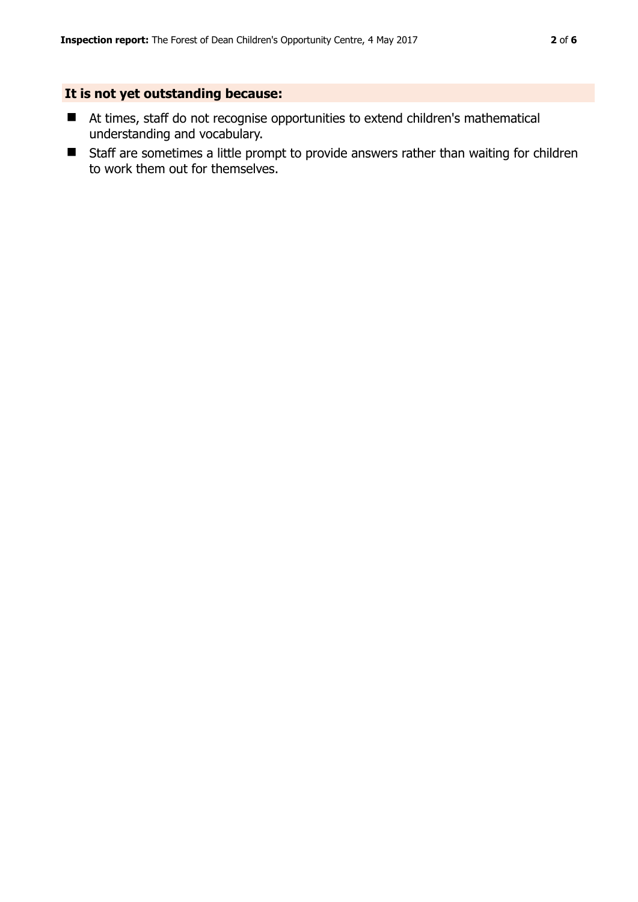## **It is not yet outstanding because:**

- At times, staff do not recognise opportunities to extend children's mathematical understanding and vocabulary.
- Staff are sometimes a little prompt to provide answers rather than waiting for children to work them out for themselves.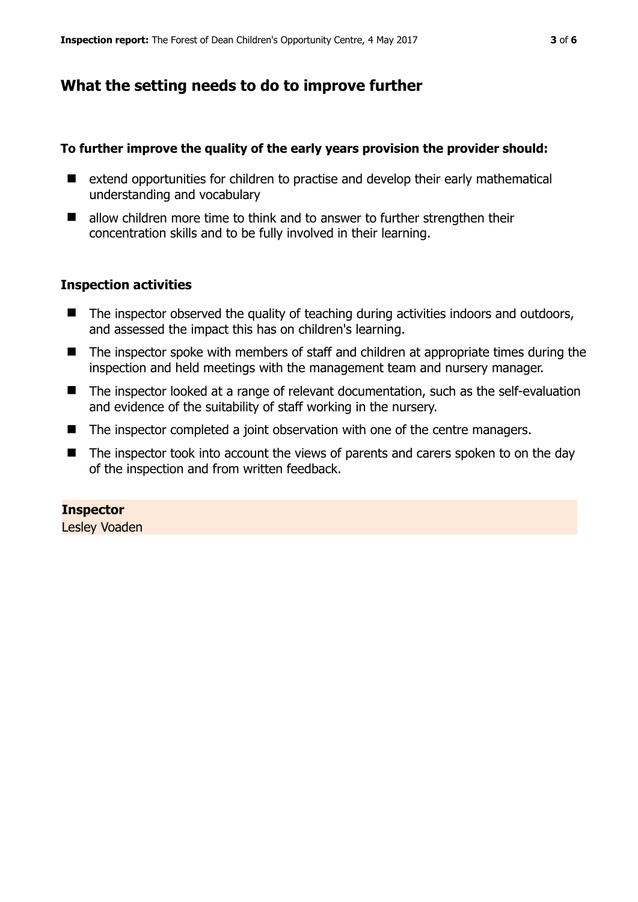## **What the setting needs to do to improve further**

#### **To further improve the quality of the early years provision the provider should:**

- extend opportunities for children to practise and develop their early mathematical understanding and vocabulary
- allow children more time to think and to answer to further strengthen their concentration skills and to be fully involved in their learning.

#### **Inspection activities**

- The inspector observed the quality of teaching during activities indoors and outdoors, and assessed the impact this has on children's learning.
- The inspector spoke with members of staff and children at appropriate times during the inspection and held meetings with the management team and nursery manager.
- The inspector looked at a range of relevant documentation, such as the self-evaluation and evidence of the suitability of staff working in the nursery.
- The inspector completed a joint observation with one of the centre managers.
- The inspector took into account the views of parents and carers spoken to on the day of the inspection and from written feedback.

#### **Inspector**

Lesley Voaden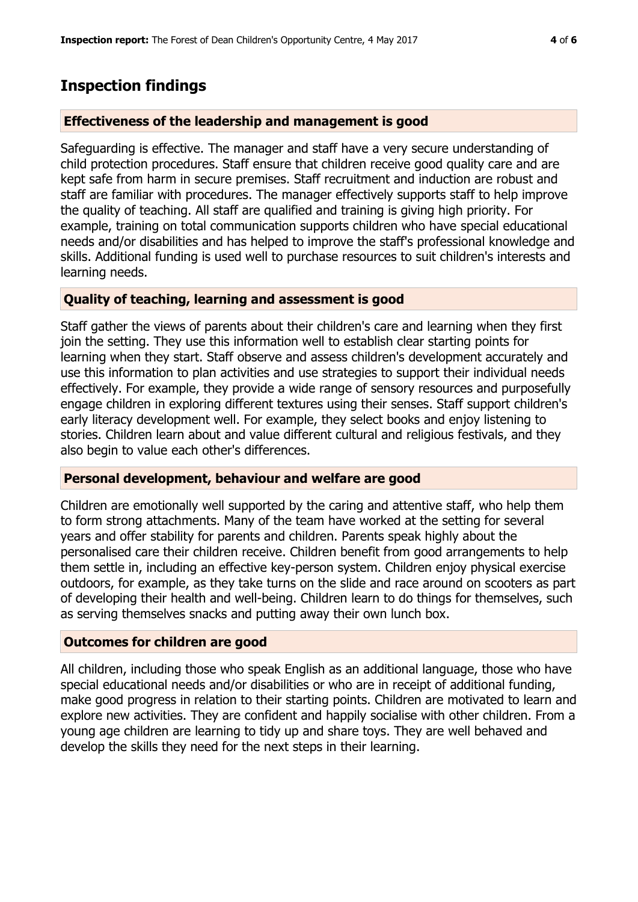## **Inspection findings**

#### **Effectiveness of the leadership and management is good**

Safeguarding is effective. The manager and staff have a very secure understanding of child protection procedures. Staff ensure that children receive good quality care and are kept safe from harm in secure premises. Staff recruitment and induction are robust and staff are familiar with procedures. The manager effectively supports staff to help improve the quality of teaching. All staff are qualified and training is giving high priority. For example, training on total communication supports children who have special educational needs and/or disabilities and has helped to improve the staff's professional knowledge and skills. Additional funding is used well to purchase resources to suit children's interests and learning needs.

#### **Quality of teaching, learning and assessment is good**

Staff gather the views of parents about their children's care and learning when they first join the setting. They use this information well to establish clear starting points for learning when they start. Staff observe and assess children's development accurately and use this information to plan activities and use strategies to support their individual needs effectively. For example, they provide a wide range of sensory resources and purposefully engage children in exploring different textures using their senses. Staff support children's early literacy development well. For example, they select books and enjoy listening to stories. Children learn about and value different cultural and religious festivals, and they also begin to value each other's differences.

#### **Personal development, behaviour and welfare are good**

Children are emotionally well supported by the caring and attentive staff, who help them to form strong attachments. Many of the team have worked at the setting for several years and offer stability for parents and children. Parents speak highly about the personalised care their children receive. Children benefit from good arrangements to help them settle in, including an effective key-person system. Children enjoy physical exercise outdoors, for example, as they take turns on the slide and race around on scooters as part of developing their health and well-being. Children learn to do things for themselves, such as serving themselves snacks and putting away their own lunch box.

#### **Outcomes for children are good**

All children, including those who speak English as an additional language, those who have special educational needs and/or disabilities or who are in receipt of additional funding, make good progress in relation to their starting points. Children are motivated to learn and explore new activities. They are confident and happily socialise with other children. From a young age children are learning to tidy up and share toys. They are well behaved and develop the skills they need for the next steps in their learning.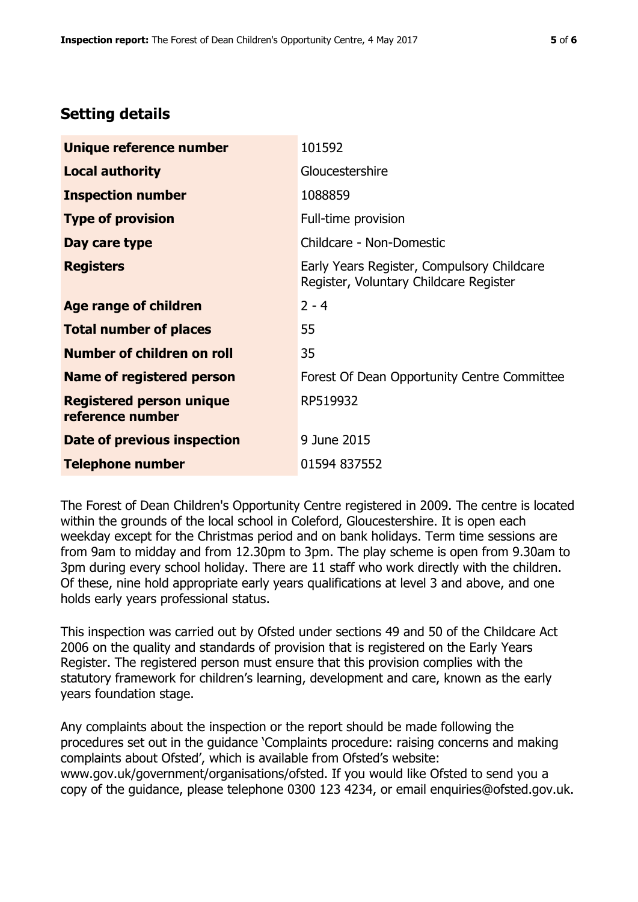# **Setting details**

| Unique reference number                             | 101592                                                                               |  |
|-----------------------------------------------------|--------------------------------------------------------------------------------------|--|
| <b>Local authority</b>                              | Gloucestershire                                                                      |  |
| <b>Inspection number</b>                            | 1088859                                                                              |  |
| <b>Type of provision</b>                            | Full-time provision                                                                  |  |
| Day care type                                       | Childcare - Non-Domestic                                                             |  |
| <b>Registers</b>                                    | Early Years Register, Compulsory Childcare<br>Register, Voluntary Childcare Register |  |
| Age range of children                               | $2 - 4$                                                                              |  |
| <b>Total number of places</b>                       | 55                                                                                   |  |
| Number of children on roll                          | 35                                                                                   |  |
| <b>Name of registered person</b>                    | Forest Of Dean Opportunity Centre Committee                                          |  |
| <b>Registered person unique</b><br>reference number | RP519932                                                                             |  |
| <b>Date of previous inspection</b>                  | 9 June 2015                                                                          |  |
| <b>Telephone number</b>                             | 01594 837552                                                                         |  |

The Forest of Dean Children's Opportunity Centre registered in 2009. The centre is located within the grounds of the local school in Coleford, Gloucestershire. It is open each weekday except for the Christmas period and on bank holidays. Term time sessions are from 9am to midday and from 12.30pm to 3pm. The play scheme is open from 9.30am to 3pm during every school holiday. There are 11 staff who work directly with the children. Of these, nine hold appropriate early years qualifications at level 3 and above, and one holds early years professional status.

This inspection was carried out by Ofsted under sections 49 and 50 of the Childcare Act 2006 on the quality and standards of provision that is registered on the Early Years Register. The registered person must ensure that this provision complies with the statutory framework for children's learning, development and care, known as the early years foundation stage.

Any complaints about the inspection or the report should be made following the procedures set out in the guidance 'Complaints procedure: raising concerns and making complaints about Ofsted', which is available from Ofsted's website: www.gov.uk/government/organisations/ofsted. If you would like Ofsted to send you a copy of the guidance, please telephone 0300 123 4234, or email enquiries@ofsted.gov.uk.